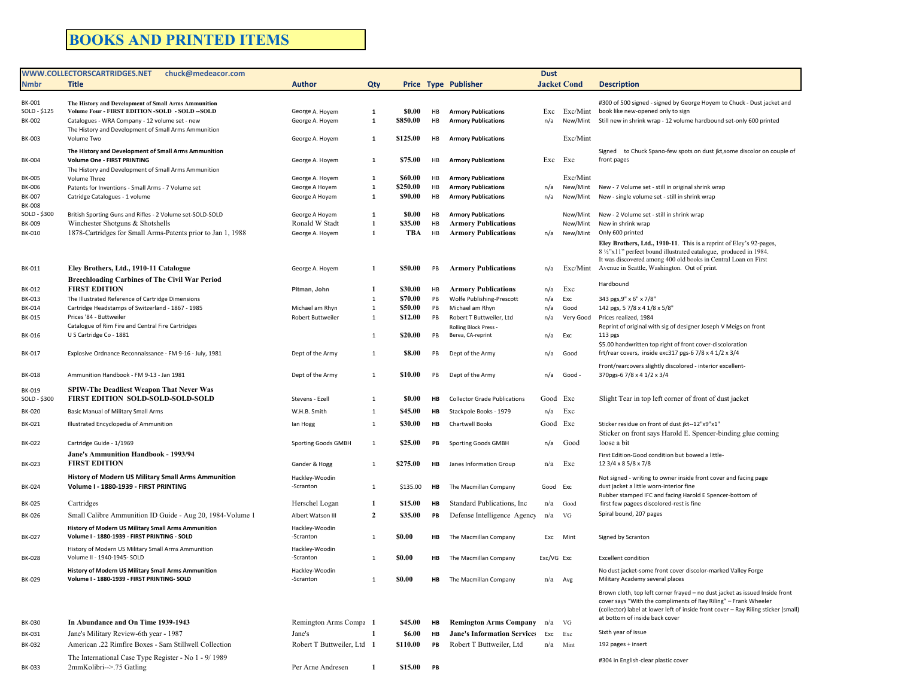## **BOOKS AND PRINTED ITEMS**

|                               | WWW.COLLECTORSCARTRIDGES.NET<br>chuck@medeacor.com                                                       |                                      |                   |                    | <b>Dust</b> |                                             |            |                    |                                                                                                                                                |
|-------------------------------|----------------------------------------------------------------------------------------------------------|--------------------------------------|-------------------|--------------------|-------------|---------------------------------------------|------------|--------------------|------------------------------------------------------------------------------------------------------------------------------------------------|
| <b>Nmbr</b>                   | <b>Title</b>                                                                                             | <b>Author</b>                        | Qty               |                    |             | <b>Price Type Publisher</b>                 |            | <b>Jacket Cond</b> | <b>Description</b>                                                                                                                             |
|                               |                                                                                                          |                                      |                   |                    |             |                                             |            |                    |                                                                                                                                                |
| <b>BK-001</b><br>SOLD - \$125 | The History and Development of Small Arms Ammunition<br>Volume Four - FIRST EDITION -SOLD - SOLD -- SOLD | George A. Hoyem                      | $\mathbf{1}$      | \$0.00             | HB          | <b>Armory Publications</b>                  | Exc        |                    | #300 of 500 signed - signed by George Hoyem to Chuck - Dust jacket and<br>Exc/Mint book like new-opened only to sign                           |
| BK-002                        | Catalogues - WRA Company - 12 volume set - new                                                           | George A. Hoyem                      | 1                 | \$850.00           | HB          | <b>Armory Publications</b>                  | n/a        |                    | New/Mint Still new in shrink wrap - 12 volume hardbound set-only 600 printed                                                                   |
|                               | The History and Development of Small Arms Ammunition                                                     |                                      |                   |                    |             |                                             |            |                    |                                                                                                                                                |
| <b>BK-003</b>                 | Volume Two                                                                                               | George A. Hoyem                      | -1                | \$125.00           | HB          | <b>Armory Publications</b>                  |            | Exc/Mint           |                                                                                                                                                |
|                               | The History and Development of Small Arms Ammunition                                                     |                                      |                   |                    |             |                                             |            |                    | Signed to Chuck Spano-few spots on dust jkt, some discolor on couple of                                                                        |
| <b>BK-004</b>                 | Volume One - FIRST PRINTING                                                                              | George A. Hoyem                      | -1                | \$75.00            | HB          | <b>Armory Publications</b>                  | Exc        | Exc                | front pages                                                                                                                                    |
| <b>BK-005</b>                 | The History and Development of Small Arms Ammunition                                                     | George A. Hoyem                      | $\mathbf{1}$      | \$60.00            | HB          | <b>Armory Publications</b>                  |            | Exc/Mint           |                                                                                                                                                |
| <b>BK-006</b>                 | Volume Three<br>Patents for Inventions - Small Arms - 7 Volume set                                       | George A Hoyem                       | 1                 | \$250.00           | HB          | <b>Armory Publications</b>                  | n/a        |                    | New/Mint New - 7 Volume set - still in original shrink wrap                                                                                    |
| <b>BK-007</b>                 | Catridge Catalogues - 1 volume                                                                           | George A Hoyem                       | $\mathbf{1}$      | \$90.00            | HB          | <b>Armory Publications</b>                  | n/a        | New/Mint           | New - single volume set - still in shrink wrap                                                                                                 |
| <b>BK-008</b>                 |                                                                                                          |                                      |                   |                    |             |                                             |            |                    |                                                                                                                                                |
| SOLD - \$300                  | British Sporting Guns and Rifles - 2 Volume set-SOLD-SOLD                                                | George A Hoyem                       | 1                 | \$0.00             | HB          | <b>Armory Publications</b>                  |            |                    | New/Mint New - 2 Volume set - still in shrink wrap                                                                                             |
| <b>BK-009</b>                 | Winchester Shotguns & Shotshells                                                                         | Ronald W Stadt                       | 1<br>$\mathbf{1}$ | \$35.00<br>TBA     | HB          | <b>Armory Publications</b>                  |            | New/Mint           | New in shrink wrap                                                                                                                             |
| <b>BK-010</b>                 | 1878-Cartridges for Small Arms-Patents prior to Jan 1, 1988                                              | George A. Hoyem                      |                   |                    | HB          | <b>Armory Publications</b>                  | n/a        |                    | New/Mint Only 600 printed                                                                                                                      |
|                               |                                                                                                          |                                      |                   |                    |             |                                             |            |                    | Eley Brothers, Ltd., 1910-11. This is a reprint of Eley's 92-pages,<br>8 1/2"x11" perfect bound illustrated catalogue, produced in 1984.       |
|                               |                                                                                                          |                                      |                   |                    |             |                                             |            |                    | It was discovered among 400 old books in Central Loan on First                                                                                 |
| BK-011                        | Eley Brothers, Ltd., 1910-11 Catalogue                                                                   | George A. Hoyem                      | 1                 | \$50.00            | PB          | <b>Armory Publications</b>                  | n/a        |                    | Exc/Mint Avenue in Seattle, Washington. Out of print.                                                                                          |
|                               | <b>Breechloading Carbines of The Civil War Period</b>                                                    |                                      |                   |                    |             |                                             |            |                    | Hardbound                                                                                                                                      |
| BK-012                        | <b>FIRST EDITION</b>                                                                                     | Pitman, John                         | -1                | \$30.00            | HB          | <b>Armory Publications</b>                  | n/a        | Exc                |                                                                                                                                                |
| BK-013                        | The Illustrated Reference of Cartridge Dimensions<br>Cartridge Headstamps of Switzerland - 1867 - 1985   |                                      | 1<br>$\mathbf{1}$ | \$70.00<br>\$50.00 | PB<br>PB    | Wolfe Publishing-Prescott                   | n/a        | Exc                | 343 pgs, 9" x 6" x 7/8"                                                                                                                        |
| BK-014<br>BK-015              | Prices '84 - Buttweiler                                                                                  | Michael am Rhyn<br>Robert Buttweiler | 1                 | \$12.00            | PB          | Michael am Rhyn<br>Robert T Buttweiler, Ltd | n/a<br>n/a | Good<br>Very Good  | 142 pgs, 5 7/8 x 4 1/8 x 5/8"<br>Prices realized, 1984                                                                                         |
|                               | Catalogue of Rim Fire and Central Fire Cartridges                                                        |                                      |                   |                    |             | Rolling Block Press -                       |            |                    | Reprint of original with sig of designer Joseph V Meigs on front                                                                               |
| BK-016                        | U S Cartridge Co - 1881                                                                                  |                                      | $\mathbf{1}$      | \$20.00            | PB          | Berea, CA-reprint                           | n/a        | Exc                | $113$ pgs                                                                                                                                      |
|                               |                                                                                                          |                                      |                   |                    |             |                                             |            |                    | \$5.00 handwritten top right of front cover-discoloration                                                                                      |
| BK-017                        | Explosive Ordnance Reconnaissance - FM 9-16 - July, 1981                                                 | Dept of the Army                     | 1                 | \$8.00             | PB          | Dept of the Army                            | n/a        | Good               | frt/rear covers, inside exc317 pgs-6 7/8 x 4 1/2 x 3/4                                                                                         |
|                               |                                                                                                          |                                      |                   |                    |             |                                             |            |                    | Front/rearcovers slightly discolored - interior excellent-                                                                                     |
| <b>BK-018</b>                 | Ammunition Handbook - FM 9-13 - Jan 1981                                                                 | Dept of the Army                     | $\mathbf{1}$      | \$10.00            | PB          | Dept of the Army                            | n/a        | Good -             | 370pgs-6 7/8 x 4 1/2 x 3/4                                                                                                                     |
| BK-019                        | <b>SPIW-The Deadliest Weapon That Never Was</b>                                                          |                                      |                   |                    |             |                                             |            |                    |                                                                                                                                                |
| SOLD - \$300                  | <b>FIRST EDITION SOLD-SOLD-SOLD-SOLD</b>                                                                 | Stevens - Ezell                      | $\mathbf{1}$      | \$0.00             | HB          | <b>Collector Grade Publications</b>         | Good       | Exc                | Slight Tear in top left corner of front of dust jacket                                                                                         |
| <b>BK-020</b>                 | Basic Manual of Military Small Arms                                                                      | W.H.B. Smith                         | $\mathbf{1}$      | \$45.00            | HB          | Stackpole Books - 1979                      | n/a        | Exc                |                                                                                                                                                |
| BK-021                        | Illustrated Encyclopedia of Ammunition                                                                   | lan Hogg                             | 1                 | \$30.00            | HB          | <b>Chartwell Books</b>                      | Good Exc   |                    | Sticker residue on front of dust jkt--12"x9"x1"                                                                                                |
|                               |                                                                                                          |                                      |                   |                    |             |                                             |            |                    | Sticker on front says Harold E. Spencer-binding glue coming                                                                                    |
| <b>BK-022</b>                 | Cartridge Guide - 1/1969                                                                                 | Sporting Goods GMBH                  | -1                | \$25.00            | PB          | <b>Sporting Goods GMBH</b>                  | n/a        | Good               | loose a bit                                                                                                                                    |
|                               | Jane's Ammunition Handbook - 1993/94                                                                     |                                      |                   |                    |             |                                             |            |                    | First Edition-Good condition but bowed a little-                                                                                               |
| BK-023                        | <b>FIRST EDITION</b>                                                                                     | Gander & Hogg                        | 1                 | \$275.00           | HB          | Janes Information Group                     | n/a        | Exc                | 12 3/4 x 8 5/8 x 7/8                                                                                                                           |
|                               | History of Modern US Military Small Arms Ammunition                                                      | Hackley-Woodin                       |                   |                    |             |                                             |            |                    | Not signed - writing to owner inside front cover and facing page                                                                               |
| <b>BK-024</b>                 | Volume I - 1880-1939 - FIRST PRINTING                                                                    | -Scranton                            | 1                 | \$135.00           | HB          | The Macmillan Company                       | Good Exc   |                    | dust jacket a little worn-interior fine                                                                                                        |
| <b>BK-025</b>                 | Cartridges                                                                                               | Herschel Logan                       | -1                | \$15.00            | HB          | Standard Publications, Inc.                 | n/a        | Good               | Rubber stamped IFC and facing Harold E Spencer-bottom of                                                                                       |
|                               |                                                                                                          |                                      |                   |                    |             |                                             |            |                    | first few pagees discolored-rest is fine<br>Spiral bound, 207 pages                                                                            |
| <b>BK-026</b>                 | Small Calibre Ammunition ID Guide - Aug 20, 1984-Volume 1                                                | Albert Watson III                    | $\overline{2}$    | \$35.00            | PB          | Defense Intelligence Agency                 | n/a        | VG                 |                                                                                                                                                |
|                               | History of Modern US Military Small Arms Ammunition                                                      | Hackley-Woodin                       |                   |                    |             |                                             |            |                    |                                                                                                                                                |
| BK-027                        | Volume I - 1880-1939 - FIRST PRINTING - SOLD                                                             | -Scranton                            | 1                 | \$0.00             | ΗВ          | The Macmillan Company                       | Exc        | Mint               | Signed by Scranton                                                                                                                             |
| <b>BK-028</b>                 | History of Modern US Military Small Arms Ammunition<br>Volume II - 1940-1945- SOLD                       | Hackley-Woodin<br>-Scranton          | $\mathbf{1}$      | \$0.00             | HВ          | The Macmillan Company                       | Exc/VG Exc |                    | <b>Excellent condition</b>                                                                                                                     |
|                               |                                                                                                          |                                      |                   |                    |             |                                             |            |                    |                                                                                                                                                |
| BK-029                        | History of Modern US Military Small Arms Ammunition<br>Volume I - 1880-1939 - FIRST PRINTING- SOLD       | Hackley-Woodin<br>-Scranton          | 1                 | \$0.00             | HB          | The Macmillan Company                       | $n/a$ Avg  |                    | No dust jacket-some front cover discolor-marked Valley Forge<br>Military Academy several places                                                |
|                               |                                                                                                          |                                      |                   |                    |             |                                             |            |                    |                                                                                                                                                |
|                               |                                                                                                          |                                      |                   |                    |             |                                             |            |                    | Brown cloth, top left corner frayed - no dust jacket as issued Inside front<br>cover says "With the compliments of Ray Riling" - Frank Wheeler |
|                               |                                                                                                          |                                      |                   |                    |             |                                             |            |                    | (collector) label at lower left of inside front cover - Ray Riling sticker (small)                                                             |
| <b>BK-030</b>                 | In Abundance and On Time 1939-1943                                                                       | Remington Arms Compa 1               |                   | \$45.00            | HB          | <b>Remington Arms Company</b>               | n/a        | VG                 | at bottom of inside back cover                                                                                                                 |
| BK-031                        | Jane's Military Review-6th year - 1987                                                                   | Jane's                               | -1                | \$6.00             | HB          | <b>Jane's Information Services</b>          | Exc        | Exc                | Sixth year of issue                                                                                                                            |
| BK-032                        | American .22 Rimfire Boxes - Sam Stillwell Collection                                                    | Robert T Buttweiler, Ltd 1           |                   | \$110.00           | PB          | Robert T Buttweiler, Ltd                    | $n/a$ Mint |                    | 192 pages + insert                                                                                                                             |
|                               |                                                                                                          |                                      |                   |                    |             |                                             |            |                    |                                                                                                                                                |
|                               | The International Case Type Register - No 1 - 9/1989                                                     | Per Arne Andresen                    |                   |                    |             |                                             |            |                    | #304 in English-clear plastic cover                                                                                                            |
| BK-033                        | 2mmKolibri-->.75 Gatling                                                                                 |                                      | -1                | \$15.00            | PB          |                                             |            |                    |                                                                                                                                                |